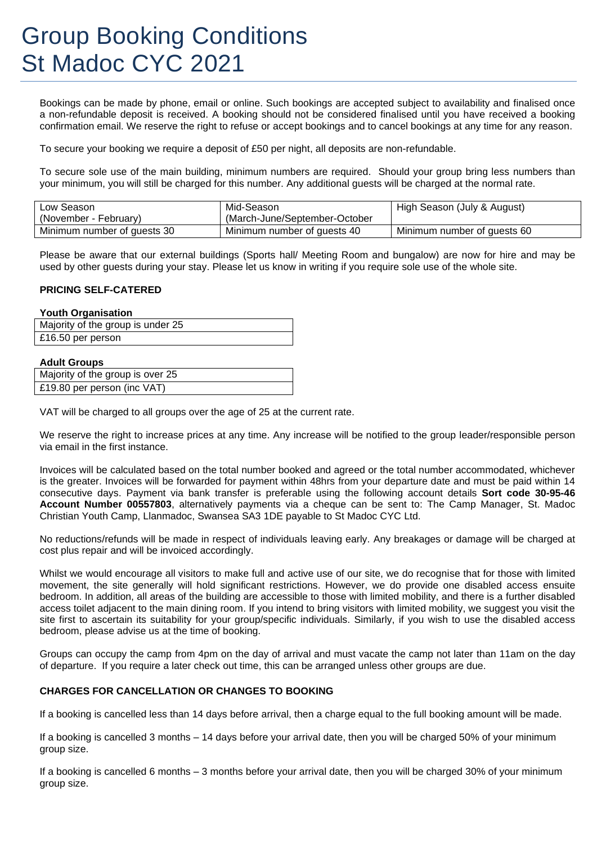# Group Booking Conditions St Madoc CYC 2021

Bookings can be made by phone, email or online. Such bookings are accepted subject to availability and finalised once a non-refundable deposit is received. A booking should not be considered finalised until you have received a booking confirmation email. We reserve the right to refuse or accept bookings and to cancel bookings at any time for any reason.

To secure your booking we require a deposit of £50 per night, all deposits are non-refundable.

To secure sole use of the main building, minimum numbers are required. Should your group bring less numbers than your minimum, you will still be charged for this number. Any additional guests will be charged at the normal rate.

| Low Season<br>(November - February) | Mid-Season<br>(March-June/September-October) | High Season (July & August) |
|-------------------------------------|----------------------------------------------|-----------------------------|
| Minimum number of guests 30         | Minimum number of guests 40                  | Minimum number of guests 60 |

Please be aware that our external buildings (Sports hall/ Meeting Room and bungalow) are now for hire and may be used by other guests during your stay. Please let us know in writing if you require sole use of the whole site.

#### **PRICING SELF-CATERED**

#### **Youth Organisation**

|                   | Majority of the group is under 25 |
|-------------------|-----------------------------------|
| £16.50 per person |                                   |

#### **Adult Groups**

| Majority of the group is over 25 |
|----------------------------------|
| £19.80 per person (inc VAT)      |

VAT will be charged to all groups over the age of 25 at the current rate.

We reserve the right to increase prices at any time. Any increase will be notified to the group leader/responsible person via email in the first instance.

Invoices will be calculated based on the total number booked and agreed or the total number accommodated, whichever is the greater. Invoices will be forwarded for payment within 48hrs from your departure date and must be paid within 14 consecutive days. Payment via bank transfer is preferable using the following account details **Sort code 30-95-46 Account Number 00557803**, alternatively payments via a cheque can be sent to: The Camp Manager, St. Madoc Christian Youth Camp, Llanmadoc, Swansea SA3 1DE payable to St Madoc CYC Ltd.

No reductions/refunds will be made in respect of individuals leaving early. Any breakages or damage will be charged at cost plus repair and will be invoiced accordingly.

Whilst we would encourage all visitors to make full and active use of our site, we do recognise that for those with limited movement, the site generally will hold significant restrictions. However, we do provide one disabled access ensuite bedroom. In addition, all areas of the building are accessible to those with limited mobility, and there is a further disabled access toilet adjacent to the main dining room. If you intend to bring visitors with limited mobility, we suggest you visit the site first to ascertain its suitability for your group/specific individuals. Similarly, if you wish to use the disabled access bedroom, please advise us at the time of booking.

Groups can occupy the camp from 4pm on the day of arrival and must vacate the camp not later than 11am on the day of departure. If you require a later check out time, this can be arranged unless other groups are due.

# **CHARGES FOR CANCELLATION OR CHANGES TO BOOKING**

If a booking is cancelled less than 14 days before arrival, then a charge equal to the full booking amount will be made.

If a booking is cancelled 3 months – 14 days before your arrival date, then you will be charged 50% of your minimum group size.

If a booking is cancelled 6 months – 3 months before your arrival date, then you will be charged 30% of your minimum group size.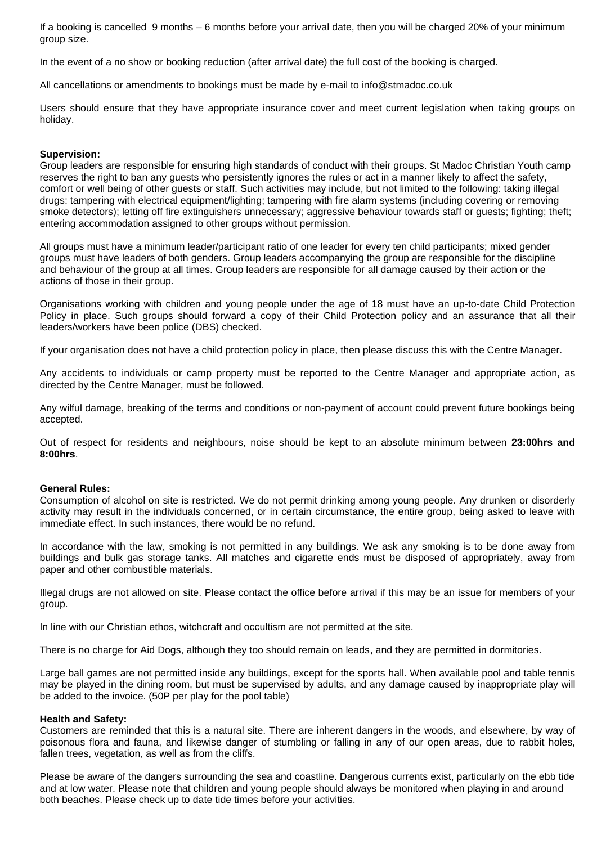If a booking is cancelled 9 months – 6 months before your arrival date, then you will be charged 20% of your minimum group size.

In the event of a no show or booking reduction (after arrival date) the full cost of the booking is charged.

All cancellations or amendments to bookings must be made by e-mail to info@stmadoc.co.uk

Users should ensure that they have appropriate insurance cover and meet current legislation when taking groups on holiday.

# **Supervision:**

Group leaders are responsible for ensuring high standards of conduct with their groups. St Madoc Christian Youth camp reserves the right to ban any guests who persistently ignores the rules or act in a manner likely to affect the safety, comfort or well being of other guests or staff. Such activities may include, but not limited to the following: taking illegal drugs: tampering with electrical equipment/lighting; tampering with fire alarm systems (including covering or removing smoke detectors); letting off fire extinguishers unnecessary; aggressive behaviour towards staff or guests; fighting; theft; entering accommodation assigned to other groups without permission.

All groups must have a minimum leader/participant ratio of one leader for every ten child participants; mixed gender groups must have leaders of both genders. Group leaders accompanying the group are responsible for the discipline and behaviour of the group at all times. Group leaders are responsible for all damage caused by their action or the actions of those in their group.

Organisations working with children and young people under the age of 18 must have an up-to-date Child Protection Policy in place. Such groups should forward a copy of their Child Protection policy and an assurance that all their leaders/workers have been police (DBS) checked.

If your organisation does not have a child protection policy in place, then please discuss this with the Centre Manager.

Any accidents to individuals or camp property must be reported to the Centre Manager and appropriate action, as directed by the Centre Manager, must be followed.

Any wilful damage, breaking of the terms and conditions or non-payment of account could prevent future bookings being accepted.

Out of respect for residents and neighbours, noise should be kept to an absolute minimum between **23:00hrs and 8:00hrs**.

# **General Rules:**

Consumption of alcohol on site is restricted. We do not permit drinking among young people. Any drunken or disorderly activity may result in the individuals concerned, or in certain circumstance, the entire group, being asked to leave with immediate effect. In such instances, there would be no refund.

In accordance with the law, smoking is not permitted in any buildings. We ask any smoking is to be done away from buildings and bulk gas storage tanks. All matches and cigarette ends must be disposed of appropriately, away from paper and other combustible materials.

Illegal drugs are not allowed on site. Please contact the office before arrival if this may be an issue for members of your group.

In line with our Christian ethos, witchcraft and occultism are not permitted at the site.

There is no charge for Aid Dogs, although they too should remain on leads, and they are permitted in dormitories.

Large ball games are not permitted inside any buildings, except for the sports hall. When available pool and table tennis may be played in the dining room, but must be supervised by adults, and any damage caused by inappropriate play will be added to the invoice. (50P per play for the pool table)

# **Health and Safety:**

Customers are reminded that this is a natural site. There are inherent dangers in the woods, and elsewhere, by way of poisonous flora and fauna, and likewise danger of stumbling or falling in any of our open areas, due to rabbit holes, fallen trees, vegetation, as well as from the cliffs.

Please be aware of the dangers surrounding the sea and coastline. Dangerous currents exist, particularly on the ebb tide and at low water. Please note that children and young people should always be monitored when playing in and around both beaches. Please check up to date tide times before your activities.